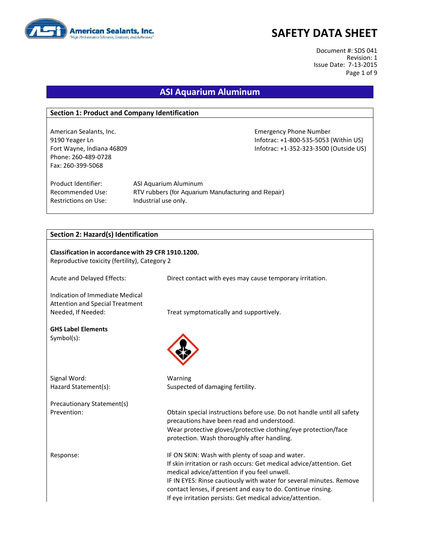

Document #: SDS 041 Revision: 1 Issue Date: 7-13-2015 Page 1 of 9

### **ASI Aquarium Aluminum**

#### **Section 1: Product and Company Identification**

Phone: 260-489-0728 Fax: 260-399-5068

American Sealants, Inc. Emergency Phone Number 9190 Yeager Ln **Informac: +1-800-535-5053** (Within US) Fort Wayne, Indiana 46809 **Information Controller Server Accord Professor** Infotrac: +1-352-323-3500 (Outside US)

Product Identifier: ASI Aquarium Aluminum Restrictions on Use: Industrial use only.

Recommended Use: RTV rubbers (for Aquarium Manufacturing and Repair)

#### **Section 2: Hazard(s) Identification**

| Classification in accordance with 29 CFR 1910.1200.<br>Reproductive toxicity (fertility), Category 2 |                                                                                                                                                                                                                                                                                                                                                                             |  |
|------------------------------------------------------------------------------------------------------|-----------------------------------------------------------------------------------------------------------------------------------------------------------------------------------------------------------------------------------------------------------------------------------------------------------------------------------------------------------------------------|--|
| Acute and Delayed Effects:                                                                           | Direct contact with eyes may cause temporary irritation.                                                                                                                                                                                                                                                                                                                    |  |
| Indication of Immediate Medical<br><b>Attention and Special Treatment</b><br>Needed, If Needed:      | Treat symptomatically and supportively.                                                                                                                                                                                                                                                                                                                                     |  |
| <b>GHS Label Elements</b><br>$Symbol(s)$ :                                                           |                                                                                                                                                                                                                                                                                                                                                                             |  |
| Signal Word:<br>Hazard Statement(s):                                                                 | Warning<br>Suspected of damaging fertility.                                                                                                                                                                                                                                                                                                                                 |  |
| Precautionary Statement(s)                                                                           |                                                                                                                                                                                                                                                                                                                                                                             |  |
| Prevention:                                                                                          | Obtain special instructions before use. Do not handle until all safety<br>precautions have been read and understood.<br>Wear protective gloves/protective clothing/eye protection/face<br>protection. Wash thoroughly after handling.                                                                                                                                       |  |
| Response:                                                                                            | IF ON SKIN: Wash with plenty of soap and water.<br>If skin irritation or rash occurs: Get medical advice/attention. Get<br>medical advice/attention if you feel unwell.<br>IF IN EYES: Rinse cautiously with water for several minutes. Remove<br>contact lenses, if present and easy to do. Continue rinsing.<br>If eye irritation persists: Get medical advice/attention. |  |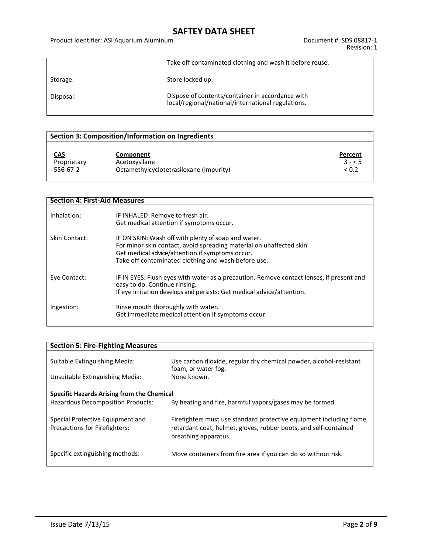#### Product Identifier: ASI Aquarium Aluminum de Cassetti and Document #: SDS 08817-1

Take off contaminated clothing and wash it before reuse.

Storage: Storage: Store locked up.

Disposal: Dispose of contents/container in accordance with local/regional/national/international regulations.

#### **Section 3: Composition/Information on Ingredients**

| CAS         |  |
|-------------|--|
| Proprietary |  |
| 556-67-2    |  |

**Component Percent** Acetoxysilane 3 - < 5<br>Octamethylcyclotetrasiloxane (Impurity)  $\leq 0.2$ Octamethylcyclotetrasiloxane (Impurity)

| <b>Section 4: First-Aid Measures</b> |                                                                                                                                                                                                                                       |
|--------------------------------------|---------------------------------------------------------------------------------------------------------------------------------------------------------------------------------------------------------------------------------------|
| Inhalation:                          | IF INHALED: Remove to fresh air.<br>Get medical attention if symptoms occur.                                                                                                                                                          |
| Skin Contact:                        | IF ON SKIN: Wash off with plenty of soap and water.<br>For minor skin contact, avoid spreading material on unaffected skin.<br>Get medical advice/attention if symptoms occur.<br>Take off contaminated clothing and wash before use. |
| Eye Contact:                         | IF IN EYES: Flush eyes with water as a precaution. Remove contact lenses, if present and<br>easy to do. Continue rinsing.<br>If eye irritation develops and persists: Get medical advice/attention.                                   |
| Ingestion:                           | Rinse mouth thoroughly with water.<br>Get immediate medical attention if symptoms occur.                                                                                                                                              |

| <b>Section 5: Fire-Fighting Measures</b>                                        |                                                                                                                                                                 |
|---------------------------------------------------------------------------------|-----------------------------------------------------------------------------------------------------------------------------------------------------------------|
| Suitable Extinguishing Media:                                                   | Use carbon dioxide, regular dry chemical powder, alcohol-resistant<br>foam, or water fog.                                                                       |
| Unsuitable Extinguishing Media:                                                 | None known.                                                                                                                                                     |
| Specific Hazards Arising from the Chemical<br>Hazardous Decomposition Products: | By heating and fire, harmful vapors/gases may be formed.                                                                                                        |
| Special Protective Equipment and<br><b>Precautions for Firefighters:</b>        | Firefighters must use standard protective equipment including flame<br>retardant coat, helmet, gloves, rubber boots, and self-contained<br>breathing apparatus. |
| Specific extinguishing methods:                                                 | Move containers from fire area if you can do so without risk.                                                                                                   |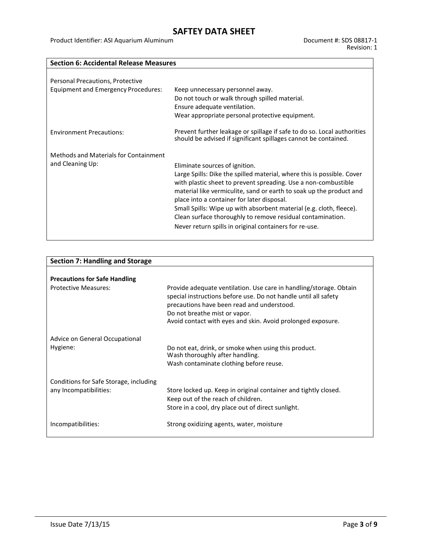Product Identifier: ASI Aquarium Aluminum de Cassetti and Document #: SDS 08817-1

### **Section 6: Accidental Release Measures**

| Personal Precautions, Protective<br><b>Equipment and Emergency Procedures:</b> | Keep unnecessary personnel away.<br>Do not touch or walk through spilled material.<br>Ensure adequate ventilation.<br>Wear appropriate personal protective equipment.                                                                                                                                                                                                                                                                                                                          |
|--------------------------------------------------------------------------------|------------------------------------------------------------------------------------------------------------------------------------------------------------------------------------------------------------------------------------------------------------------------------------------------------------------------------------------------------------------------------------------------------------------------------------------------------------------------------------------------|
| <b>Environment Precautions:</b>                                                | Prevent further leakage or spillage if safe to do so. Local authorities<br>should be advised if significant spillages cannot be contained.                                                                                                                                                                                                                                                                                                                                                     |
| Methods and Materials for Containment<br>and Cleaning Up:                      | Eliminate sources of ignition.<br>Large Spills: Dike the spilled material, where this is possible. Cover<br>with plastic sheet to prevent spreading. Use a non-combustible<br>material like vermiculite, sand or earth to soak up the product and<br>place into a container for later disposal.<br>Small Spills: Wipe up with absorbent material (e.g. cloth, fleece).<br>Clean surface thoroughly to remove residual contamination.<br>Never return spills in original containers for re-use. |

| <b>Section 7: Handling and Storage</b> |                                                                                                                                                                                                                                                                                     |
|----------------------------------------|-------------------------------------------------------------------------------------------------------------------------------------------------------------------------------------------------------------------------------------------------------------------------------------|
|                                        |                                                                                                                                                                                                                                                                                     |
| <b>Precautions for Safe Handling</b>   |                                                                                                                                                                                                                                                                                     |
| <b>Protective Measures:</b>            | Provide adequate ventilation. Use care in handling/storage. Obtain<br>special instructions before use. Do not handle until all safety<br>precautions have been read and understood.<br>Do not breathe mist or vapor.<br>Avoid contact with eyes and skin. Avoid prolonged exposure. |
| Advice on General Occupational         |                                                                                                                                                                                                                                                                                     |
| Hygiene:                               | Do not eat, drink, or smoke when using this product.<br>Wash thoroughly after handling.                                                                                                                                                                                             |
|                                        | Wash contaminate clothing before reuse.                                                                                                                                                                                                                                             |
| Conditions for Safe Storage, including |                                                                                                                                                                                                                                                                                     |
| any Incompatibilities:                 | Store locked up. Keep in original container and tightly closed.                                                                                                                                                                                                                     |
|                                        | Keep out of the reach of children.                                                                                                                                                                                                                                                  |
|                                        | Store in a cool, dry place out of direct sunlight.                                                                                                                                                                                                                                  |
| Incompatibilities:                     | Strong oxidizing agents, water, moisture                                                                                                                                                                                                                                            |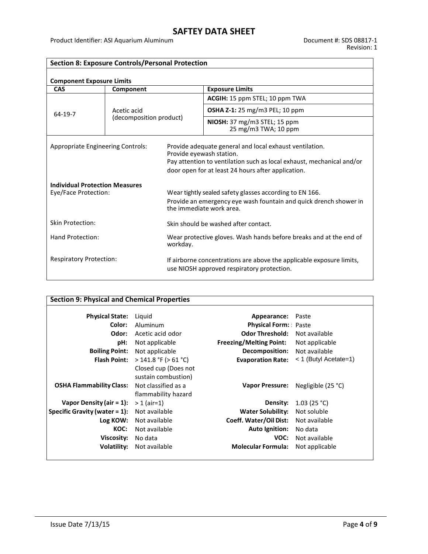Product Identifier: ASI Aquarium Aluminum de Cassetti and Document #: SDS 08817-1

٦

| <b>Section 8: Exposure Controls/Personal Protection</b>       |                         |                                                                                                                                                                                                                    |                                                                    |  |
|---------------------------------------------------------------|-------------------------|--------------------------------------------------------------------------------------------------------------------------------------------------------------------------------------------------------------------|--------------------------------------------------------------------|--|
| <b>Component Exposure Limits</b>                              |                         |                                                                                                                                                                                                                    |                                                                    |  |
| CAS                                                           | Component               |                                                                                                                                                                                                                    | <b>Exposure Limits</b>                                             |  |
|                                                               |                         |                                                                                                                                                                                                                    | ACGIH: 15 ppm STEL; 10 ppm TWA                                     |  |
| 64-19-7                                                       | Acetic acid             |                                                                                                                                                                                                                    | <b>OSHA Z-1:</b> 25 mg/m3 PEL; 10 ppm                              |  |
|                                                               | (decomposition product) |                                                                                                                                                                                                                    | NIOSH: 37 mg/m3 STEL; 15 ppm<br>25 mg/m3 TWA; 10 ppm               |  |
| Appropriate Engineering Controls:                             |                         | Provide adequate general and local exhaust ventilation.<br>Provide eyewash station.<br>Pay attention to ventilation such as local exhaust, mechanical and/or<br>door open for at least 24 hours after application. |                                                                    |  |
| <b>Individual Protection Measures</b><br>Eye/Face Protection: |                         | Wear tightly sealed safety glasses according to EN 166.<br>Provide an emergency eye wash fountain and quick drench shower in<br>the immediate work area.                                                           |                                                                    |  |
| <b>Skin Protection:</b>                                       |                         | Skin should be washed after contact.                                                                                                                                                                               |                                                                    |  |
| Hand Protection:                                              |                         | workday.                                                                                                                                                                                                           | Wear protective gloves. Wash hands before breaks and at the end of |  |
| <b>Respiratory Protection:</b>                                |                         | If airborne concentrations are above the applicable exposure limits,<br>use NIOSH approved respiratory protection.                                                                                                 |                                                                    |  |

| <b>Section 9: Physical and Chemical Properties</b> |                                             |                                |                       |
|----------------------------------------------------|---------------------------------------------|--------------------------------|-----------------------|
| <b>Physical State:</b>                             | Liguid                                      | Appearance:                    | Paste                 |
| Color:                                             | Aluminum                                    | <b>Physical Form:</b> Paste    |                       |
| Odor:                                              | Acetic acid odor                            | <b>Odor Threshold:</b>         | Not available         |
| pH:                                                | Not applicable                              | <b>Freezing/Melting Point:</b> | Not applicable        |
| <b>Boiling Point:</b>                              | Not applicable                              | Decomposition:                 | Not available         |
| <b>Flash Point:</b>                                | $>$ 141.8 °F ( $>$ 61 °C)                   | <b>Evaporation Rate:</b>       | < 1 (Butyl Acetate=1) |
|                                                    | Closed cup (Does not<br>sustain combustion) |                                |                       |
| <b>OSHA Flammability Class:</b>                    | Not classified as a<br>flammability hazard  | <b>Vapor Pressure:</b>         | Negligible (25 °C)    |
| Vapor Density (air = $1$ ):                        | $> 1$ (air=1)                               | Density:                       | 1.03(25 °C)           |
| Specific Gravity (water $= 1$ ):                   | Not available                               | <b>Water Solubility:</b>       | Not soluble           |
| Log KOW:                                           | Not available                               | Coeff. Water/Oil Dist:         | Not available         |
| KOC:                                               | Not available                               | <b>Auto Ignition:</b>          | No data               |
| Viscosity:                                         | No data                                     | VOC:                           | Not available         |
| Volatility:                                        | Not available                               | <b>Molecular Formula:</b>      | Not applicable        |
|                                                    |                                             |                                |                       |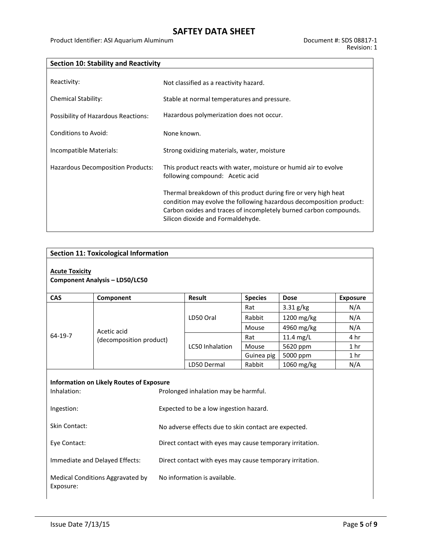Product Identifier: ASI Aquarium Aluminum de Cassetti and Document #: SDS 08817-1

| <b>Section 10: Stability and Reactivity</b> |                                                                                                                                                                                                                                                  |
|---------------------------------------------|--------------------------------------------------------------------------------------------------------------------------------------------------------------------------------------------------------------------------------------------------|
|                                             |                                                                                                                                                                                                                                                  |
| Reactivity:                                 | Not classified as a reactivity hazard.                                                                                                                                                                                                           |
| <b>Chemical Stability:</b>                  | Stable at normal temperatures and pressure.                                                                                                                                                                                                      |
| Possibility of Hazardous Reactions:         | Hazardous polymerization does not occur.                                                                                                                                                                                                         |
| <b>Conditions to Avoid:</b>                 | None known.                                                                                                                                                                                                                                      |
| Incompatible Materials:                     | Strong oxidizing materials, water, moisture                                                                                                                                                                                                      |
| Hazardous Decomposition Products:           | This product reacts with water, moisture or humid air to evolve<br>following compound: Acetic acid                                                                                                                                               |
|                                             | Thermal breakdown of this product during fire or very high heat<br>condition may evolve the following hazardous decomposition product:<br>Carbon oxides and traces of incompletely burned carbon compounds.<br>Silicon dioxide and Formaldehyde. |

| <b>Section 11: Toxicological Information</b>                                                           |                                  |                                                          |                                                          |                |             |                 |
|--------------------------------------------------------------------------------------------------------|----------------------------------|----------------------------------------------------------|----------------------------------------------------------|----------------|-------------|-----------------|
| <b>Acute Toxicity</b><br><b>Component Analysis - LD50/LC50</b>                                         |                                  |                                                          |                                                          |                |             |                 |
| <b>CAS</b>                                                                                             | Component                        |                                                          | <b>Result</b>                                            | <b>Species</b> | <b>Dose</b> | <b>Exposure</b> |
|                                                                                                        |                                  |                                                          |                                                          | Rat            | 3.31 g/kg   | N/A             |
|                                                                                                        |                                  |                                                          |                                                          | Rabbit         | 1200 mg/kg  | N/A             |
|                                                                                                        | Acetic acid                      |                                                          |                                                          | Mouse          | 4960 mg/kg  | N/A             |
| 64-19-7                                                                                                | (decomposition product)          |                                                          |                                                          | Rat            | 11.4 mg/L   | 4 hr            |
|                                                                                                        |                                  |                                                          | LC50 Inhalation                                          | Mouse          | 5620 ppm    | 1 <sub>hr</sub> |
|                                                                                                        |                                  |                                                          |                                                          | Guinea pig     | 5000 ppm    | 1 <sub>hr</sub> |
|                                                                                                        |                                  |                                                          | LD50 Dermal                                              | Rabbit         | 1060 mg/kg  | N/A             |
| <b>Information on Likely Routes of Exposure</b><br>Inhalation:<br>Prolonged inhalation may be harmful. |                                  |                                                          |                                                          |                |             |                 |
| Ingestion:                                                                                             |                                  |                                                          | Expected to be a low ingestion hazard.                   |                |             |                 |
| <b>Skin Contact:</b>                                                                                   |                                  |                                                          | No adverse effects due to skin contact are expected.     |                |             |                 |
| Eye Contact:                                                                                           |                                  | Direct contact with eyes may cause temporary irritation. |                                                          |                |             |                 |
|                                                                                                        | Immediate and Delayed Effects:   |                                                          | Direct contact with eyes may cause temporary irritation. |                |             |                 |
| Exposure:                                                                                              | Medical Conditions Aggravated by |                                                          | No information is available.                             |                |             |                 |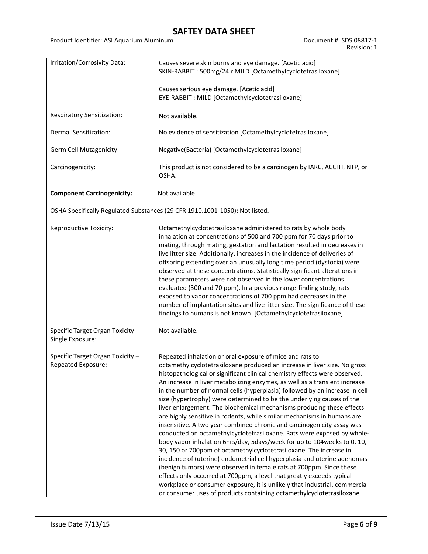Product Identifier: ASI Aquarium Aluminum de Cassetti and Document #: SDS 08817-1

Revision: 1

| Irritation/Corrosivity Data:                           | Causes severe skin burns and eye damage. [Acetic acid]<br>SKIN-RABBIT: 500mg/24 r MILD [Octamethylcyclotetrasiloxane]                                                                                                                                                                                                                                                                                                                                                                                                                                                                                                                                                                                                                                                                                                                                                                                                                                                                                                                                                                                                                                                                                                                                                                                 |
|--------------------------------------------------------|-------------------------------------------------------------------------------------------------------------------------------------------------------------------------------------------------------------------------------------------------------------------------------------------------------------------------------------------------------------------------------------------------------------------------------------------------------------------------------------------------------------------------------------------------------------------------------------------------------------------------------------------------------------------------------------------------------------------------------------------------------------------------------------------------------------------------------------------------------------------------------------------------------------------------------------------------------------------------------------------------------------------------------------------------------------------------------------------------------------------------------------------------------------------------------------------------------------------------------------------------------------------------------------------------------|
|                                                        | Causes serious eye damage. [Acetic acid]<br>EYE-RABBIT: MILD [Octamethylcyclotetrasiloxane]                                                                                                                                                                                                                                                                                                                                                                                                                                                                                                                                                                                                                                                                                                                                                                                                                                                                                                                                                                                                                                                                                                                                                                                                           |
| Respiratory Sensitization:                             | Not available.                                                                                                                                                                                                                                                                                                                                                                                                                                                                                                                                                                                                                                                                                                                                                                                                                                                                                                                                                                                                                                                                                                                                                                                                                                                                                        |
| Dermal Sensitization:                                  | No evidence of sensitization [Octamethylcyclotetrasiloxane]                                                                                                                                                                                                                                                                                                                                                                                                                                                                                                                                                                                                                                                                                                                                                                                                                                                                                                                                                                                                                                                                                                                                                                                                                                           |
| Germ Cell Mutagenicity:                                | Negative(Bacteria) [Octamethylcyclotetrasiloxane]                                                                                                                                                                                                                                                                                                                                                                                                                                                                                                                                                                                                                                                                                                                                                                                                                                                                                                                                                                                                                                                                                                                                                                                                                                                     |
| Carcinogenicity:                                       | This product is not considered to be a carcinogen by IARC, ACGIH, NTP, or<br>OSHA.                                                                                                                                                                                                                                                                                                                                                                                                                                                                                                                                                                                                                                                                                                                                                                                                                                                                                                                                                                                                                                                                                                                                                                                                                    |
| <b>Component Carcinogenicity:</b>                      | Not available.                                                                                                                                                                                                                                                                                                                                                                                                                                                                                                                                                                                                                                                                                                                                                                                                                                                                                                                                                                                                                                                                                                                                                                                                                                                                                        |
|                                                        | OSHA Specifically Regulated Substances (29 CFR 1910.1001-1050): Not listed.                                                                                                                                                                                                                                                                                                                                                                                                                                                                                                                                                                                                                                                                                                                                                                                                                                                                                                                                                                                                                                                                                                                                                                                                                           |
| Reproductive Toxicity:                                 | Octamethylcyclotetrasiloxane administered to rats by whole body<br>inhalation at concentrations of 500 and 700 ppm for 70 days prior to<br>mating, through mating, gestation and lactation resulted in decreases in<br>live litter size. Additionally, increases in the incidence of deliveries of<br>offspring extending over an unusually long time period (dystocia) were<br>observed at these concentrations. Statistically significant alterations in<br>these parameters were not observed in the lower concentrations<br>evaluated (300 and 70 ppm). In a previous range-finding study, rats<br>exposed to vapor concentrations of 700 ppm had decreases in the<br>number of implantation sites and live litter size. The significance of these<br>findings to humans is not known. [Octamethylcyclotetrasiloxane]                                                                                                                                                                                                                                                                                                                                                                                                                                                                             |
| Specific Target Organ Toxicity -<br>Single Exposure:   | Not available.                                                                                                                                                                                                                                                                                                                                                                                                                                                                                                                                                                                                                                                                                                                                                                                                                                                                                                                                                                                                                                                                                                                                                                                                                                                                                        |
| Specific Target Organ Toxicity -<br>Repeated Exposure: | Repeated inhalation or oral exposure of mice and rats to<br>octamethylcyclotetrasiloxane produced an increase in liver size. No gross<br>histopathological or significant clinical chemistry effects were observed.<br>An increase in liver metabolizing enzymes, as well as a transient increase<br>in the number of normal cells (hyperplasia) followed by an increase in cell<br>size (hypertrophy) were determined to be the underlying causes of the<br>liver enlargement. The biochemical mechanisms producing these effects<br>are highly sensitive in rodents, while similar mechanisms in humans are<br>insensitive. A two year combined chronic and carcinogenicity assay was<br>conducted on octamethylcyclotetrasiloxane. Rats were exposed by whole-<br>body vapor inhalation 6hrs/day, 5days/week for up to 104 weeks to 0, 10,<br>30, 150 or 700ppm of octamethylcyclotetrasiloxane. The increase in<br>incidence of (uterine) endometrial cell hyperplasia and uterine adenomas<br>(benign tumors) were observed in female rats at 700ppm. Since these<br>effects only occurred at 700ppm, a level that greatly exceeds typical<br>workplace or consumer exposure, it is unlikely that industrial, commercial<br>or consumer uses of products containing octamethylcyclotetrasiloxane |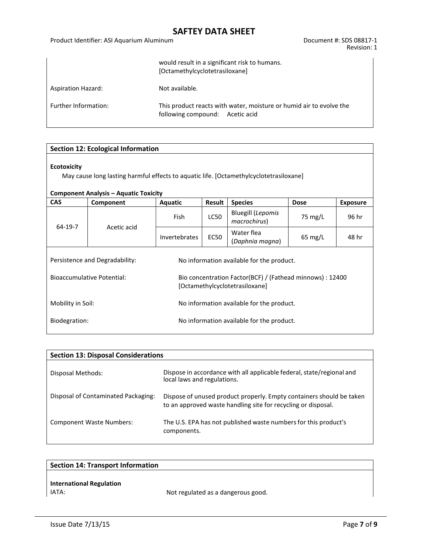#### Product Identifier: ASI Aquarium Aluminum de Cassetti and Document #: SDS 08817-1

Revision: 1

|                           | would result in a significant risk to humans.<br>[Octamethylcyclotetrasiloxane]                        |
|---------------------------|--------------------------------------------------------------------------------------------------------|
| <b>Aspiration Hazard:</b> | Not available.                                                                                         |
| Further Information:      | This product reacts with water, moisture or humid air to evolve the<br>following compound: Acetic acid |

| <b>Section 12: Ecological Information</b>                                                                                                                    |                                                            |                                                                                             |             |                                          |                   |                 |  |
|--------------------------------------------------------------------------------------------------------------------------------------------------------------|------------------------------------------------------------|---------------------------------------------------------------------------------------------|-------------|------------------------------------------|-------------------|-----------------|--|
| <b>Ecotoxicity</b><br>May cause long lasting harmful effects to aquatic life. [Octamethylcyclotetrasiloxane]<br><b>Component Analysis – Aquatic Toxicity</b> |                                                            |                                                                                             |             |                                          |                   |                 |  |
| <b>CAS</b>                                                                                                                                                   | Component                                                  | Aquatic                                                                                     | Result      | <b>Species</b>                           | <b>Dose</b>       | <b>Exposure</b> |  |
| 64-19-7                                                                                                                                                      | Acetic acid                                                | <b>Fish</b>                                                                                 | <b>LC50</b> | <b>Bluegill (Lepomis</b><br>macrochirus) | 75 mg/L           | 96 hr           |  |
|                                                                                                                                                              |                                                            | Invertebrates                                                                               | <b>EC50</b> | Water flea<br>(Daphnia magna)            | $65 \text{ mg/L}$ | 48 hr           |  |
|                                                                                                                                                              | Persistence and Degradability:                             | No information available for the product.                                                   |             |                                          |                   |                 |  |
| <b>Bioaccumulative Potential:</b>                                                                                                                            |                                                            | Bio concentration Factor(BCF) / (Fathead minnows) : 12400<br>[Octamethylcyclotetrasiloxane] |             |                                          |                   |                 |  |
| Mobility in Soil:<br>No information available for the product.                                                                                               |                                                            |                                                                                             |             |                                          |                   |                 |  |
|                                                                                                                                                              | Biodegration:<br>No information available for the product. |                                                                                             |             |                                          |                   |                 |  |

| <b>Section 13: Disposal Considerations</b> |                                                                                                                                       |  |  |  |  |  |
|--------------------------------------------|---------------------------------------------------------------------------------------------------------------------------------------|--|--|--|--|--|
| Disposal Methods:                          | Dispose in accordance with all applicable federal, state/regional and<br>local laws and regulations.                                  |  |  |  |  |  |
| Disposal of Contaminated Packaging:        | Dispose of unused product properly. Empty containers should be taken<br>to an approved waste handling site for recycling or disposal. |  |  |  |  |  |
| <b>Component Waste Numbers:</b>            | The U.S. EPA has not published waste numbers for this product's<br>components.                                                        |  |  |  |  |  |

| <b>Section 14: Transport Information</b> |                                    |
|------------------------------------------|------------------------------------|
|                                          |                                    |
| <b>International Regulation</b>          |                                    |
| IATA:                                    | Not regulated as a dangerous good. |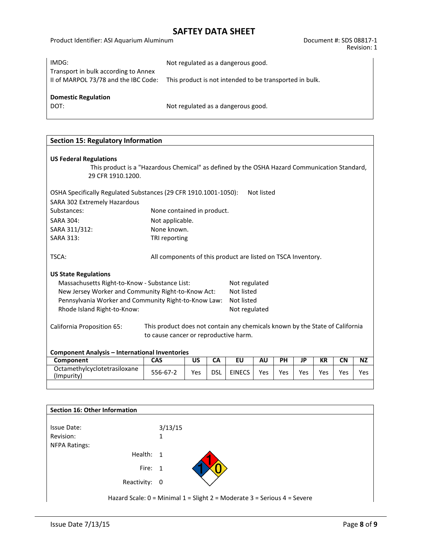Product Identifier: ASI Aquarium Aluminum de Cassetti and Document #: SDS 08817-1

| IMDG:                                                                        | Not regulated as a dangerous good.                      |
|------------------------------------------------------------------------------|---------------------------------------------------------|
| Transport in bulk according to Annex<br>II of MARPOL 73/78 and the IBC Code: | This product is not intended to be transported in bulk. |
| <b>Domestic Regulation</b><br>DOT:                                           | Not regulated as a dangerous good.                      |

| <b>Section 15: Regulatory Information</b>                                                                                                                                                                                                                                                                                                                        |                                                                              |     |            |               |            |            |     |           |           |           |
|------------------------------------------------------------------------------------------------------------------------------------------------------------------------------------------------------------------------------------------------------------------------------------------------------------------------------------------------------------------|------------------------------------------------------------------------------|-----|------------|---------------|------------|------------|-----|-----------|-----------|-----------|
| <b>US Federal Regulations</b><br>This product is a "Hazardous Chemical" as defined by the OSHA Hazard Communication Standard,<br>29 CFR 1910.1200.                                                                                                                                                                                                               |                                                                              |     |            |               |            |            |     |           |           |           |
| OSHA Specifically Regulated Substances (29 CFR 1910.1001-1050):                                                                                                                                                                                                                                                                                                  |                                                                              |     |            |               | Not listed |            |     |           |           |           |
| SARA 302 Extremely Hazardous                                                                                                                                                                                                                                                                                                                                     |                                                                              |     |            |               |            |            |     |           |           |           |
| Substances:                                                                                                                                                                                                                                                                                                                                                      | None contained in product.                                                   |     |            |               |            |            |     |           |           |           |
| <b>SARA 304:</b>                                                                                                                                                                                                                                                                                                                                                 | Not applicable.                                                              |     |            |               |            |            |     |           |           |           |
| SARA 311/312:                                                                                                                                                                                                                                                                                                                                                    | None known.                                                                  |     |            |               |            |            |     |           |           |           |
| <b>SARA 313:</b>                                                                                                                                                                                                                                                                                                                                                 | TRI reporting                                                                |     |            |               |            |            |     |           |           |           |
| TSCA:<br>All components of this product are listed on TSCA Inventory.<br><b>US State Regulations</b><br>Massachusetts Right-to-Know - Substance List:<br>Not regulated<br>Not listed<br>New Jersey Worker and Community Right-to-Know Act:<br>Pennsylvania Worker and Community Right-to-Know Law:<br>Not listed<br>Rhode Island Right-to-Know:<br>Not regulated |                                                                              |     |            |               |            |            |     |           |           |           |
| California Proposition 65:                                                                                                                                                                                                                                                                                                                                       | This product does not contain any chemicals known by the State of California |     |            |               |            |            |     |           |           |           |
| to cause cancer or reproductive harm.                                                                                                                                                                                                                                                                                                                            |                                                                              |     |            |               |            |            |     |           |           |           |
| <b>Component Analysis - International Inventories</b>                                                                                                                                                                                                                                                                                                            |                                                                              |     |            |               |            |            |     |           |           |           |
| Component                                                                                                                                                                                                                                                                                                                                                        | <b>CAS</b>                                                                   | US  | <b>CA</b>  | EU            | <b>AU</b>  | <b>PH</b>  | JP  | <b>KR</b> | <b>CN</b> | <b>NZ</b> |
| Octamethylcyclotetrasiloxane<br>(Impurity)                                                                                                                                                                                                                                                                                                                       | 556-67-2                                                                     | Yes | <b>DSL</b> | <b>EINECS</b> | Yes        | <b>Yes</b> | Yes | Yes       | Yes       | Yes.      |

| <b>Section 16: Other Information</b> |                                                                          |
|--------------------------------------|--------------------------------------------------------------------------|
|                                      |                                                                          |
| Issue Date:                          | 3/13/15                                                                  |
| Revision:                            | 1                                                                        |
| <b>NFPA Ratings:</b>                 |                                                                          |
| Health: 1                            |                                                                          |
| Fire: 1                              |                                                                          |
| Reactivity: 0                        |                                                                          |
|                                      | Hazard Scale: 0 = Minimal 1 = Slight 2 = Moderate 3 = Serious 4 = Severe |